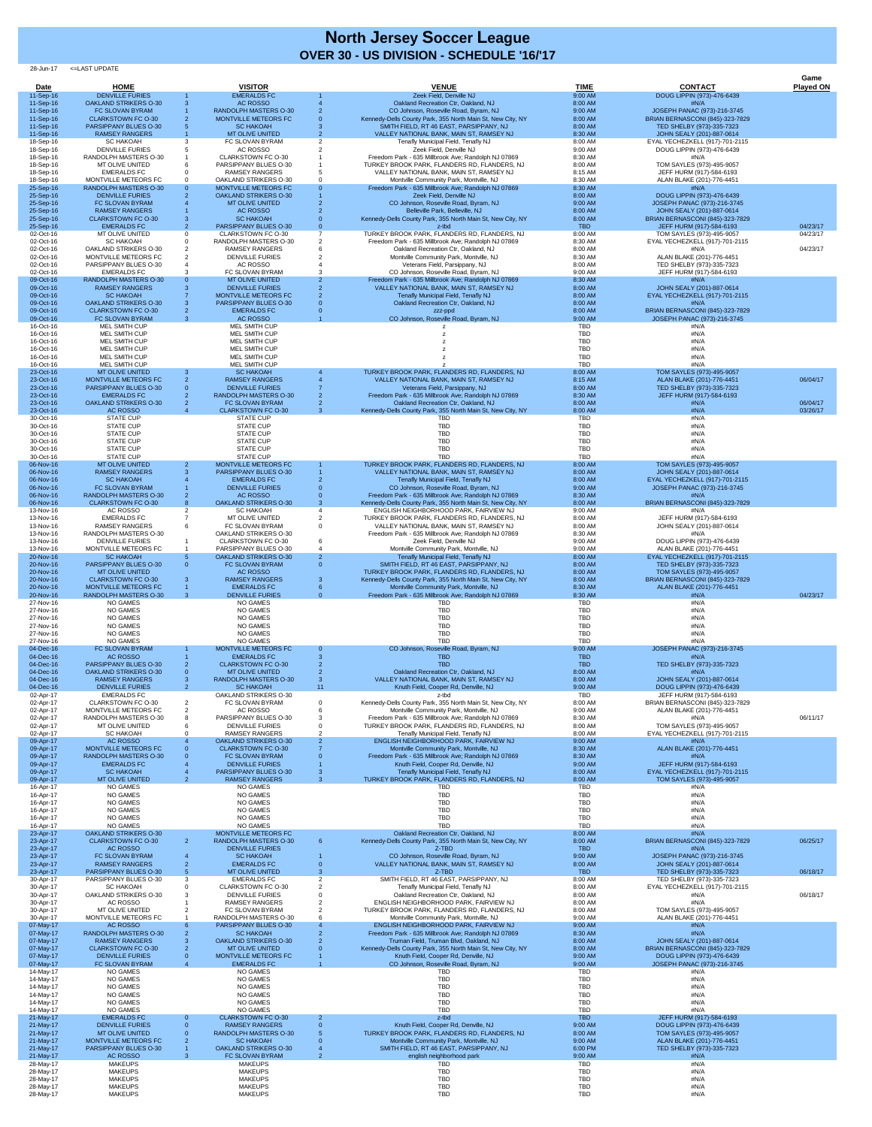28-Jun-17 <=LAST UPDATE

|                        |                                                          |                |                                                             |    |                                                                                                       |                          |                                                                    | Game                 |
|------------------------|----------------------------------------------------------|----------------|-------------------------------------------------------------|----|-------------------------------------------------------------------------------------------------------|--------------------------|--------------------------------------------------------------------|----------------------|
| Date<br>11-Sep-16      | <b>HOME</b><br><b>DENVILLE FURIES</b>                    |                | <b>VISITOR</b><br><b>EMERALDS FC</b>                        |    | <b>VENUE</b><br>Zeek Field, Denville NJ                                                               | <b>TIME</b><br>9:00 AM   | <b>CONTACT</b><br>DOUG LIPPIN (973)-476-6439                       | <b>Played ON</b>     |
| 11-Sep-16              | <b>OAKLAND STRIKERS O-30</b>                             |                | <b>AC ROSSO</b>                                             |    | Oakland Recreation Ctr, Oakland, NJ                                                                   | 8:00 AM                  | #N/A                                                               |                      |
| 11-Sep-16<br>11-Sep-16 | FC SLOVAN BYRAM<br><b>CLARKSTOWN FC O-30</b>             |                | <b>RANDOLPH MASTERS O-30</b><br><b>MONTVILLE METEORS FC</b> |    | CO Johnson, Roseville Road, Byram, NJ<br>Kennedy-Dells County Park, 355 North Main St, New City, NY   | 9:00 AM<br>8:00 AM       | JOSEPH PANAC (973)-216-3745<br>BRIAN BERNASCONI (845)-323-7829     |                      |
| 11-Sep-16              | PARSIPPANY BLUES O-30                                    |                | <b>SC HAKOAH</b>                                            |    | SMITH FIELD, RT 46 EAST, PARSIPPANY, NJ                                                               | 8:00 AM                  | TED SHELBY (973)-335-7323                                          |                      |
| 11-Sep-16              | <b>RAMSEY RANGERS</b>                                    |                | <b>MT OLIVE UNITED</b>                                      |    | VALLEY NATIONAL BANK, MAIN ST, RAMSEY NJ                                                              | 8:30 AM                  | JOHN SEALY (201)-887-0614                                          |                      |
| 18-Sep-16<br>18-Sep-16 | <b>SC HAKOAH</b><br><b>DENVILLE FURIES</b>               |                | FC SLOVAN BYRAM<br>AC ROSSO                                 |    | Tenafly Municipal Field, Tenafly NJ<br>Zeek Field, Denville NJ                                        | 8:00 AM<br>9:00 AM       | EYAL YECHEZKELL (917)-701-2115<br>DOUG LIPPIN (973)-476-6439       |                      |
| 18-Sep-16              | RANDOLPH MASTERS O-30                                    |                | <b>CLARKSTOWN FC O-30</b>                                   |    | Freedom Park - 635 Millbrook Ave; Randolph NJ 07869                                                   | 8:30 AM                  | #N/A                                                               |                      |
| 18-Sep-16<br>18-Sep-16 | MT OLIVE UNITED<br><b>EMERALDS FC</b>                    |                | PARSIPPANY BLUES O-30<br><b>RAMSEY RANGERS</b>              |    | TURKEY BROOK PARK, FLANDERS RD, FLANDERS, NJ<br>VALLEY NATIONAL BANK, MAIN ST, RAMSEY NJ              | 8:00 AM<br>8:15 AM       | TOM SAYLES (973)-495-9057<br>JEFF HURM (917)-584-6193              |                      |
| 18-Sep-16              | MONTVILLE METEORS FC                                     |                | <b>OAKLAND STRIKERS O-30</b>                                |    | Montville Community Park, Montville, NJ                                                               | 8:30 AM                  | ALAN BLAKE (201)-776-4451                                          |                      |
| 25-Sep-16<br>25-Sep-16 | RANDOLPH MASTERS O-30<br><b>DENVILLE FURIES</b>          |                | <b>MONTVILLE METEORS FC</b><br><b>OAKLAND STRIKERS O-30</b> |    | Freedom Park - 635 Millbrook Ave; Randolph NJ 07869<br>Zeek Field, Denville NJ                        | 8:30 AM<br>8:00 AM       | #N/A<br>DOUG LIPPIN (973)-476-6439                                 |                      |
| 25-Sep-16              | FC SLOVAN BYRAM<br><b>RAMSEY RANGERS</b>                 |                | <b>MT OLIVE UNITED</b><br>AC ROSSO                          |    | CO Johnson, Roseville Road, Byram, NJ<br>Belleville Park, Belleville, NJ                              | 9:00 AM                  | JOSEPH PANAC (973)-216-3745                                        |                      |
| 25-Sep-16<br>25-Sep-16 | <b>CLARKSTOWN FC O-30</b>                                |                | <b>SC HAKOAH</b>                                            |    | Kennedy-Dells County Park, 355 North Main St, New City, NY                                            | 8:00 AM<br>8:00 AM       | JOHN SEALY (201)-887-0614<br>BRIAN BERNASCONI (845)-323-7829       |                      |
| 25-Sep-16<br>02-Oct-16 | <b>EMERALDS FC</b><br><b>MT OLIVE UNITED</b>             | $\overline{2}$ | <b>PARSIPPANY BLUES O-30</b><br><b>CLARKSTOWN FC O-30</b>   |    | z-tbd<br>TURKEY BROOK PARK, FLANDERS RD, FLANDERS, NJ                                                 | <b>TBD</b><br>8:00 AM    | JEFF HURM (917)-584-6193<br>TOM SAYLES (973)-495-9057              | 04/23/17<br>04/23/17 |
| 02-Oct-16              | <b>SC HAKOAH</b>                                         |                | RANDOLPH MASTERS O-30                                       |    | Freedom Park - 635 Millbrook Ave; Randolph NJ 07869                                                   | 8:30 AM                  | EYAL YECHEZKELL (917)-701-2115                                     |                      |
| 02-Oct-16<br>02-Oct-16 | <b>OAKLAND STRIKERS O-30</b><br>MONTVILLE METEORS FC     |                | <b>RAMSEY RANGERS</b><br><b>DENVILLE FURIES</b>             |    | Oakland Recreation Ctr, Oakland, NJ<br>Montville Community Park, Montville, NJ                        | 8:00 AM<br>8:30 AM       | #N/A<br>ALAN BLAKE (201)-776-4451                                  | 04/23/17             |
| 02-Oct-16              | PARSIPPANY BLUES O-30                                    |                | AC ROSSO                                                    |    | Veterans Field, Parsippany, NJ                                                                        | 8:00 AM                  | TED SHELBY (973)-335-7323                                          |                      |
| 02-Oct-16<br>09-Oct-16 | <b>EMERALDS FC</b><br><b>RANDOLPH MASTERS O-30</b>       |                | FC SLOVAN BYRAM<br><b>MT OLIVE UNITED</b>                   |    | CO Johnson, Roseville Road, Byram, NJ<br>Freedom Park - 635 Millbrook Ave; Randolph NJ 07869          | 9:00 AM<br>8:30 AM       | JEFF HURM (917)-584-6193<br>#N/A                                   |                      |
| 09-Oct-16              | <b>RAMSEY RANGERS</b>                                    |                | <b>DENVILLE FURIES</b>                                      |    | VALLEY NATIONAL BANK, MAIN ST, RAMSEY NJ                                                              | 8:00 AM                  | JOHN SEALY (201)-887-0614                                          |                      |
| 09-Oct-16<br>09-Oct-16 | <b>SC HAKOAH</b><br><b>OAKLAND STRIKERS O-30</b>         |                | MONTVILLE METEORS FC<br><b>PARSIPPANY BLUES O-30</b>        |    | Tenafly Municipal Field, Tenafly NJ<br>Oakland Recreation Ctr, Oakland, NJ                            | 8:00 AM<br>8:00 AM       | EYAL YECHEZKELL (917)-701-2115<br>#N/A                             |                      |
| 09-Oct-16              | <b>CLARKSTOWN FC O-30</b>                                |                | <b>EMERALDS FC</b>                                          |    | zzz-ppd                                                                                               | 8:00 AM                  | <b>BRIAN BERNASCONI (845)-323-7829</b>                             |                      |
| 09-Oct-16<br>16-Oct-16 | FC SLOVAN BYRAM<br><b>MEL SMITH CUP</b>                  | -3             | <b>AC ROSSO</b><br><b>MEL SMITH CUP</b>                     |    | CO Johnson, Roseville Road, Byram, NJ                                                                 | 9:00 AM<br><b>TBD</b>    | JOSEPH PANAC (973)-216-3745<br>#N/A                                |                      |
| 16-Oct-16              | MEL SMITH CUP                                            |                | MEL SMITH CUP                                               |    |                                                                                                       | <b>TBD</b>               | #N/A                                                               |                      |
| 16-Oct-16<br>16-Oct-16 | <b>MEL SMITH CUP</b><br><b>MEL SMITH CUP</b>             |                | MEL SMITH CUP<br>MEL SMITH CUP                              |    |                                                                                                       | <b>TBD</b><br><b>TBD</b> | #N/A<br>#N/A                                                       |                      |
| 16-Oct-16              | <b>MEL SMITH CUP</b>                                     |                | MEL SMITH CUP                                               |    |                                                                                                       | <b>TBD</b>               | #N/A                                                               |                      |
| 16-Oct-16<br>23-Oct-16 | <b>MEL SMITH CUP</b><br><b>MT OLIVE UNITED</b>           |                | <b>MEL SMITH CUP</b><br><b>SC HAKOAH</b>                    |    | TURKEY BROOK PARK, FLANDERS RD, FLANDERS, NJ                                                          | <b>TBD</b><br>8:00 AM    | #N/A<br>TOM SAYLES (973)-495-9057                                  |                      |
| 23-Oct-16              | MONTVILLE METEORS FC                                     |                | <b>RAMSEY RANGERS</b>                                       |    | VALLEY NATIONAL BANK, MAIN ST, RAMSEY NJ                                                              | 8:15 AM                  | ALAN BLAKE (201)-776-4451                                          | 06/04/17             |
| 23-Oct-16<br>23-Oct-16 | PARSIPPANY BLUES O-30<br><b>EMERALDS FC</b>              |                | <b>DENVILLE FURIES</b><br><b>RANDOLPH MASTERS O-30</b>      |    | Veterans Field, Parsippany, NJ<br>Freedom Park - 635 Millbrook Ave; Randolph NJ 07869                 | 8:00 AM<br>8:30 AM       | TED SHELBY (973)-335-7323<br>JEFF HURM (917)-584-6193              |                      |
| 23-Oct-16              | <b>OAKLAND STRIKERS O-30</b>                             |                | FC SLOVAN BYRAM                                             |    | Oakland Recreation Ctr, Oakland, NJ                                                                   | 8:00 AM                  | #N/A                                                               | 06/04/17             |
| 23-Oct-16<br>30-Oct-16 | AC ROSSO<br><b>STATE CUP</b>                             |                | <b>CLARKSTOWN FC O-30</b><br><b>STATE CUP</b>               |    | Kennedy-Dells County Park, 355 North Main St, New City, NY<br>TBD                                     | 8:00 AM<br><b>TBD</b>    | #N/A<br>#N/A                                                       | 03/26/17             |
| 30-Oct-16              | <b>STATE CUP</b>                                         |                | <b>STATE CUP</b>                                            |    | <b>TBD</b>                                                                                            | <b>TBD</b>               | #N/A                                                               |                      |
| 30-Oct-16<br>30-Oct-16 | <b>STATE CUP</b><br><b>STATE CUP</b>                     |                | <b>STATE CUP</b><br><b>STATE CUP</b>                        |    | <b>TBD</b><br><b>TBD</b>                                                                              | <b>TBD</b><br><b>TBD</b> | #N/A<br>#N/A                                                       |                      |
| 30-Oct-16              | <b>STATE CUP</b>                                         |                | <b>STATE CUP</b>                                            |    | <b>TBD</b>                                                                                            | <b>TBD</b>               | #N/A                                                               |                      |
| 30-Oct-16              | <b>STATE CUP</b><br><b>MT OLIVE UNITED</b>               |                | <b>STATE CUP</b><br>MONTVILLE METEORS FC                    |    | <b>TBD</b><br>TURKEY BROOK PARK, FLANDERS RD, FLANDERS, NJ                                            | <b>TBD</b>               | #N/A                                                               |                      |
| 06-Nov-16<br>06-Nov-16 | <b>RAMSEY RANGERS</b>                                    | -2             | PARSIPPANY BLUES O-30                                       |    | VALLEY NATIONAL BANK, MAIN ST, RAMSEY NJ                                                              | 8:00 AM<br>8:00 AM       | TOM SAYLES (973)-495-9057<br>JOHN SEALY (201)-887-0614             |                      |
| 06-Nov-16              | <b>SC HAKOAH</b>                                         |                | <b>EMERALDS FC</b>                                          |    | Tenafly Municipal Field, Tenafly NJ                                                                   | 8:00 AM                  | EYAL YECHEZKELL (917)-701-2115                                     |                      |
| 06-Nov-16<br>06-Nov-16 | FC SLOVAN BYRAM<br>RANDOLPH MASTERS O-30                 |                | <b>DENVILLE FURIES</b><br><b>AC ROSSO</b>                   |    | CO Johnson, Roseville Road, Byram, NJ<br>Freedom Park - 635 Millbrook Ave; Randolph NJ 07869          | 9:00 AM<br>8:30 AM       | JOSEPH PANAC (973)-216-3745<br>#N/A                                |                      |
| 06-Nov-16              | <b>CLARKSTOWN FC O-30</b>                                |                | <b>OAKLAND STRIKERS O-30</b>                                |    | Kennedy-Dells County Park, 355 North Main St, New City, NY                                            | 8:00 AM                  | <b>BRIAN BERNASCONI (845)-323-7829</b>                             |                      |
| 13-Nov-16<br>13-Nov-16 | AC ROSSO<br><b>EMERALDS FC</b>                           |                | <b>SC HAKOAH</b><br>MT OLIVE UNITED                         |    | ENGLISH NEIGHBORHOOD PARK, FAIRVIEW NJ<br>TURKEY BROOK PARK, FLANDERS RD, FLANDERS, NJ                | 9:00 AM<br>8:00 AM       | #N/A<br>JEFF HURM (917)-584-6193                                   |                      |
| 13-Nov-16              | <b>RAMSEY RANGERS</b>                                    |                | FC SLOVAN BYRAM<br><b>OAKLAND STRIKERS O-30</b>             |    | VALLEY NATIONAL BANK, MAIN ST, RAMSEY NJ                                                              | 8:00 AM                  | JOHN SEALY (201)-887-0614                                          |                      |
| 13-Nov-16<br>13-Nov-16 | RANDOLPH MASTERS O-30<br><b>DENVILLE FURIES</b>          |                | <b>CLARKSTOWN FC O-30</b>                                   |    | Freedom Park - 635 Millbrook Ave; Randolph NJ 07869<br>Zeek Field, Denville NJ                        | 8:30 AM<br>9:00 AM       | #N/A<br>DOUG LIPPIN (973)-476-6439                                 |                      |
| 13-Nov-16              | MONTVILLE METEORS FC                                     |                | PARSIPPANY BLUES O-30                                       |    | Montville Community Park, Montville, NJ                                                               | 9:00 AM                  | ALAN BLAKE (201)-776-4451                                          |                      |
| 20-Nov-16<br>20-Nov-16 | <b>SC HAKOAH</b><br>PARSIPPANY BLUES O-30                |                | <b>OAKLAND STRIKERS O-30</b><br>FC SLOVAN BYRAM             |    | Tenafly Municipal Field, Tenafly NJ<br>SMITH FIELD, RT 46 EAST, PARSIPPANY, NJ                        | 8:00 AM<br>8:00 AM       | <b>EYAL YECHEZKELL (917)-701-2115</b><br>TED SHELBY (973)-335-7323 |                      |
| 20-Nov-16              | <b>MT OLIVE UNITED</b>                                   |                | <b>AC ROSSO</b>                                             |    | TURKEY BROOK PARK, FLANDERS RD, FLANDERS, NJ                                                          | 8:00 AM                  | TOM SAYLES (973)-495-9057                                          |                      |
| 20-Nov-16<br>20-Nov-16 | <b>CLARKSTOWN FC O-30</b><br><b>MONTVILLE METEORS FC</b> |                | <b>RAMSEY RANGERS</b><br><b>EMERALDS FC</b>                 |    | Kennedy-Dells County Park, 355 North Main St, New City, NY<br>Montville Community Park, Montville, NJ | 8:00 AM<br>8:30 AM       | BRIAN BERNASCONI (845)-323-7829<br>ALAN BLAKE (201)-776-4451       |                      |
| 20-Nov-16              | <b>RANDOLPH MASTERS O-30</b>                             | -3             | <b>DENVILLE FURIES</b>                                      |    | Freedom Park - 635 Millbrook Ave; Randolph NJ 07869                                                   | 8:30 AM                  | #N/A                                                               | 04/23/17             |
| 27-Nov-16<br>27-Nov-16 | <b>NO GAMES</b><br><b>NO GAMES</b>                       |                | <b>NO GAMES</b><br><b>NO GAMES</b>                          |    | <b>TBD</b><br><b>TBD</b>                                                                              | <b>TBD</b><br><b>TBD</b> | #N/A<br>#N/A                                                       |                      |
| 27-Nov-16<br>27-Nov-16 | <b>NO GAMES</b>                                          |                | <b>NO GAMES</b>                                             |    | <b>TBD</b>                                                                                            | <b>TBD</b>               | #N/A                                                               |                      |
| 27-Nov-16              | <b>NO GAMES</b><br><b>NO GAMES</b>                       |                | <b>NO GAMES</b><br><b>NO GAMES</b>                          |    | <b>TBD</b><br><b>TBD</b>                                                                              | TBD<br><b>TBD</b>        | #N/A<br>#N/A                                                       |                      |
| 27-Nov-16              | <b>NO GAMES</b>                                          |                | <b>NO GAMES</b>                                             |    | <b>TBD</b>                                                                                            | <b>TBD</b>               | #N/A                                                               |                      |
| 04-Dec-16<br>04-Dec-16 | FC SLOVAN BYRAM<br><b>AC ROSSO</b>                       |                | MONTVILLE METEORS FC<br><b>EMERALDS FC</b>                  |    | CO Johnson, Roseville Road, Byram, NJ<br><b>TBD</b>                                                   | 9:00 AM<br><b>TBD</b>    | JOSEPH PANAC (973)-216-3745<br>#N/A                                |                      |
| 04-Dec-16              | PARSIPPANY BLUES O-30                                    |                | <b>CLARKSTOWN FC O-30</b>                                   |    | <b>TBD</b>                                                                                            | <b>TBD</b>               | TED SHELBY (973)-335-7323                                          |                      |
| 04-Dec-16<br>04-Dec-16 | <b>OAKLAND STRIKERS O-30</b><br><b>RAMSEY RANGERS</b>    | 3              | <b>MT OLIVE UNITED</b><br><b>RANDOLPH MASTERS O-30</b>      |    | Oakland Recreation Ctr, Oakland, NJ<br>VALLEY NATIONAL BANK, MAIN ST, RAMSEY NJ                       | 8:00 AM<br>8:00 AM       | #N/A<br>JOHN SEALY (201)-887-0614                                  |                      |
| 04-Dec-16              | <b>DENVILLE FURIES</b>                                   | 2              | <b>SC HAKOAH</b>                                            | 11 | Knuth Field, Cooper Rd, Denville, NJ                                                                  | 9:00 AM                  | DOUG LIPPIN (973)-476-6439                                         |                      |
| 02-Apr-17<br>02-Apr-17 | <b>EMERALDS FC</b><br><b>CLARKSTOWN FC O-30</b>          |                | <b>OAKLAND STRIKERS O-30</b><br>FC SLOVAN BYRAM             |    | z-tbd<br>Kennedy-Dells County Park, 355 North Main St, New City, NY                                   | <b>TBD</b><br>8:00 AM    | JEFF HURM (917)-584-6193<br>BRIAN BERNASCONI (845)-323-7829        |                      |
| 02-Apr-17              | MONTVILLE METEORS FC                                     |                | <b>AC ROSSO</b><br>PARSIPPANY BLUES O-30                    |    | Montville Community Park, Montville, NJ<br>Freedom Park - 635 Millbrook Ave; Randolph NJ 07869        | 9:00 AM                  | ALAN BLAKE (201)-776-4451<br>#N/A                                  |                      |
| 02-Apr-17<br>02-Apr-17 | RANDOLPH MASTERS O-30<br><b>MT OLIVE UNITED</b>          |                | <b>DENVILLE FURIES</b>                                      |    | TURKEY BROOK PARK, FLANDERS RD, FLANDERS, NJ                                                          | 8:30 AM<br>8:00 AM       | TOM SAYLES (973)-495-9057                                          | 06/11/17             |
| 02-Apr-17              | <b>SC HAKOAH</b>                                         |                | <b>RAMSEY RANGERS</b>                                       |    | Tenafly Municipal Field, Tenafly NJ                                                                   | 8:00 AM                  | EYAL YECHEZKELL (917)-701-2115                                     |                      |
| 09-Apr-17<br>09-Apr-17 | AC ROSSO<br>MONTVILLE METEORS FC                         |                | <b>OAKLAND STRIKERS O-30</b><br><b>CLARKSTOWN FC O-30</b>   |    | ENGLISH NEIGHBORHOOD PARK, FAIRVIEW NJ<br>Montville Community Park, Montville, NJ                     | 9:00 AM<br>8:30 AM       | #N/A<br>ALAN BLAKE (201)-776-4451                                  |                      |
| 09-Apr-17<br>09-Apr-17 | <b>RANDOLPH MASTERS O-30</b><br><b>EMERALDS FC</b>       |                | FC SLOVAN BYRAM<br><b>DENVILLE FURIES</b>                   |    | Freedom Park - 635 Millbrook Ave; Randolph NJ 07869<br>Knuth Field, Cooper Rd, Denville, NJ           | 8:30 AM                  | #N/A<br>JEFF HURM (917)-584-6193                                   |                      |
| 09-Apr-17              | <b>SC HAKOAH</b>                                         |                | <b>PARSIPPANY BLUES O-30</b>                                |    | Tenafly Municipal Field, Tenafly NJ                                                                   | 9:00 AM<br>8:00 AM       | EYAL YECHEZKELL (917)-701-2115                                     |                      |
| 09-Apr-17<br>16-Apr-17 | <b>MT OLIVE UNITED</b><br><b>NO GAMES</b>                |                | <b>RAMSEY RANGERS</b><br><b>NO GAMES</b>                    | 3  | TURKEY BROOK PARK, FLANDERS RD, FLANDERS, NJ<br><b>TBD</b>                                            | 8:00 AM<br><b>TBD</b>    | TOM SAYLES (973)-495-9057<br>#N/A                                  |                      |
| 16-Apr-17              | <b>NO GAMES</b>                                          |                | <b>NO GAMES</b>                                             |    | <b>TBD</b>                                                                                            | <b>TBD</b>               | #N/A                                                               |                      |
| 16-Apr-17<br>16-Apr-17 | <b>NO GAMES</b><br><b>NO GAMES</b>                       |                | <b>NO GAMES</b><br><b>NO GAMES</b>                          |    | <b>TBD</b><br><b>TBD</b>                                                                              | <b>TBD</b><br><b>TBD</b> | #N/A<br>#N/A                                                       |                      |
| 16-Apr-17              | <b>NO GAMES</b>                                          |                | <b>NO GAMES</b>                                             |    | <b>TBD</b>                                                                                            | <b>TBD</b>               | #N/A                                                               |                      |
| 16-Apr-17<br>23-Apr-17 | <b>NO GAMES</b><br><b>OAKLAND STRIKERS O-30</b>          |                | <b>NO GAMES</b><br>MONTVILLE METEORS FC                     |    | <b>TBD</b><br>Oakland Recreation Ctr, Oakland, NJ                                                     | <b>TBD</b><br>8:00 AM    | #N/A<br>#N/A                                                       |                      |
| 23-Apr-17              | <b>CLARKSTOWN FC O-30</b>                                | $\overline{2}$ | <b>RANDOLPH MASTERS O-30</b>                                | 6. | Kennedy-Dells County Park, 355 North Main St, New City, NY                                            | 8:00 AM                  | <b>BRIAN BERNASCONI (845)-323-7829</b>                             | 06/25/17             |
| 23-Apr-17<br>23-Apr-17 | AC ROSSO<br>FC SLOVAN BYRAM                              |                | <b>DENVILLE FURIES</b><br><b>SC HAKOAH</b>                  |    | Z-TBD<br>CO Johnson, Roseville Road, Byram, NJ                                                        | <b>TBD</b><br>9:00 AM    | #N/A<br>JOSEPH PANAC (973)-216-3745                                |                      |
| 23-Apr-17              | <b>RAMSEY RANGERS</b>                                    |                | <b>EMERALDS FC</b>                                          |    | VALLEY NATIONAL BANK, MAIN ST, RAMSEY NJ                                                              | 8:00 AM                  | JOHN SEALY (201)-887-0614                                          |                      |
| 23-Apr-17<br>30-Apr-17 | PARSIPPANY BLUES O-30<br>PARSIPPANY BLUES O-30           |                | <b>MT OLIVE UNITED</b><br><b>EMERALDS FC</b>                |    | Z-TBD<br>SMITH FIELD, RT 46 EAST, PARSIPPANY, NJ                                                      | <b>TBD</b><br>8:00 AM    | TED SHELBY (973)-335-7323<br>TED SHELBY (973)-335-7323             | 06/18/17             |
| 30-Apr-17              | <b>SC HAKOAH</b>                                         |                | <b>CLARKSTOWN FC O-30</b>                                   |    | Tenafly Municipal Field, Tenafly NJ                                                                   | 8:00 AM                  | EYAL YECHEZKELL (917)-701-2115                                     |                      |
| 30-Apr-17<br>30-Apr-17 | <b>OAKLAND STRIKERS O-30</b><br>AC ROSSO                 |                | <b>DENVILLE FURIES</b><br><b>RAMSEY RANGERS</b>             |    | Oakland Recreation Ctr, Oakland, NJ<br>ENGLISH NEIGHBORHOOD PARK, FAIRVIEW NJ                         | 8:00 AM<br>8:00 AM       | #N/A<br>#N/A                                                       | 06/18/17             |
| 30-Apr-17              | MT OLIVE UNITED                                          | 2              | FC SLOVAN BYRAM                                             |    | TURKEY BROOK PARK, FLANDERS RD, FLANDERS, NJ                                                          | 8:00 AM                  | TOM SAYLES (973)-495-9057                                          |                      |
| 30-Apr-17<br>07-May-17 | MONTVILLE METEORS FC<br>AC ROSSO                         |                | RANDOLPH MASTERS O-30<br>PARSIPPANY BLUES O-30              |    | Montville Community Park, Montville, NJ<br>ENGLISH NEIGHBORHOOD PARK, FAIRVIEW NJ                     | 9:00 AM<br>9:00 AM       | ALAN BLAKE (201)-776-4451<br>#N/A                                  |                      |
| 07-May-17              | <b>RANDOLPH MASTERS O-30</b>                             |                | <b>SC HAKOAH</b>                                            |    | Freedom Park - 635 Millbrook Ave; Randolph NJ 07869                                                   | 8:30 AM                  | #N/A                                                               |                      |
| 07-May-17<br>07-May-17 | <b>RAMSEY RANGERS</b><br><b>CLARKSTOWN FC O-30</b>       | -2             | <b>OAKLAND STRIKERS O-30</b><br><b>MT OLIVE UNITED</b>      |    | Truman Field, Truman Blvd, Oakland, NJ<br>Kennedy-Dells County Park, 355 North Main St, New City, NY  | 8:00 AM<br>8:00 AM       | JOHN SEALY (201)-887-0614<br>BRIAN BERNASCONI (845)-323-7829       |                      |
| 07-May-17              | <b>DENVILLE FURIES</b>                                   |                | MONTVILLE METEORS FC                                        |    | Knuth Field, Cooper Rd, Denville, NJ                                                                  | 9:00 AM                  | DOUG LIPPIN (973)-476-6439                                         |                      |
| 07-May-17<br>14-May-17 | FC SLOVAN BYRAM<br>NO GAMES                              |                | <b>EMERALDS FC</b><br><b>NO GAMES</b>                       |    | CO Johnson, Roseville Road, Byram, NJ<br><b>TBD</b>                                                   | 9:00 AM<br><b>TBD</b>    | JOSEPH PANAC (973)-216-3745<br>#N/A                                |                      |
| 14-May-17              | NO GAMES                                                 |                | <b>NO GAMES</b>                                             |    | <b>TBD</b>                                                                                            | <b>TBD</b>               | #N/A                                                               |                      |
| 14-May-17<br>14-May-17 | NO GAMES<br>NO GAMES                                     |                | <b>NO GAMES</b><br><b>NO GAMES</b>                          |    | <b>TBD</b><br><b>TBD</b>                                                                              | <b>TBD</b><br><b>TBD</b> | #N/A<br>#N/A                                                       |                      |
| 14-May-17              | NO GAMES                                                 |                | <b>NO GAMES</b>                                             |    | <b>TBD</b>                                                                                            | <b>TBD</b>               | #N/A                                                               |                      |
| 14-May-17<br>21-May-17 | <b>NO GAMES</b><br><b>EMERALDS FC</b>                    | $\overline{0}$ | <b>NO GAMES</b><br><b>CLARKSTOWN FC O-30</b>                |    | <b>TBD</b><br>z-tbd                                                                                   | <b>TBD</b><br><b>TBD</b> | #N/A<br>JEFF HURM (917)-584-6193                                   |                      |
| 21-May-17              | <b>DENVILLE FURIES</b>                                   |                | <b>RAMSEY RANGERS</b>                                       |    | Knuth Field, Cooper Rd, Denville, NJ                                                                  | 9:00 AM                  | DOUG LIPPIN (973)-476-6439                                         |                      |
| 21-May-17<br>21-May-17 | <b>MT OLIVE UNITED</b><br>MONTVILLE METEORS FC           |                | RANDOLPH MASTERS O-30<br><b>SC HAKOAH</b>                   |    | TURKEY BROOK PARK, FLANDERS RD, FLANDERS, NJ<br>Montville Community Park, Montville, NJ               | 8:00 AM<br>9:00 AM       | TOM SAYLES (973)-495-9057<br>ALAN BLAKE (201)-776-4451             |                      |
| 21-May-17              | PARSIPPANY BLUES O-30                                    |                | <b>OAKLAND STRIKERS O-30</b>                                |    | SMITH FIELD, RT 46 EAST, PARSIPPANY, NJ                                                               | 6:00 PM                  | TED SHELBY (973)-335-7323                                          |                      |
| 21-May-17<br>28-May-17 | <b>AC ROSSO</b><br><b>MAKEUPS</b>                        | -3             | FC SLOVAN BYRAM<br><b>MAKEUPS</b>                           |    | english neighborhood park<br>TBD                                                                      | 9:00 AM<br><b>TBD</b>    | #N/A<br>#N/A                                                       |                      |
| 28-May-17              | <b>MAKEUPS</b>                                           |                | <b>MAKEUPS</b>                                              |    | <b>TBD</b>                                                                                            | <b>TBD</b>               | #N/A                                                               |                      |
| 28-May-17<br>28-May-17 | <b>MAKEUPS</b><br><b>MAKEUPS</b>                         |                | <b>MAKEUPS</b><br><b>MAKEUPS</b>                            |    | <b>TBD</b><br><b>TBD</b>                                                                              | <b>TBD</b><br><b>TBD</b> | #N/A<br>#N/A                                                       |                      |
| 28-May-17              | <b>MAKEUPS</b>                                           |                | <b>MAKEUPS</b>                                              |    | <b>TBD</b>                                                                                            | <b>TBD</b>               | #N/A                                                               |                      |

## **OVER 30 - US DIVISION - SCHEDULE '16/'17 North Jersey Soccer League**